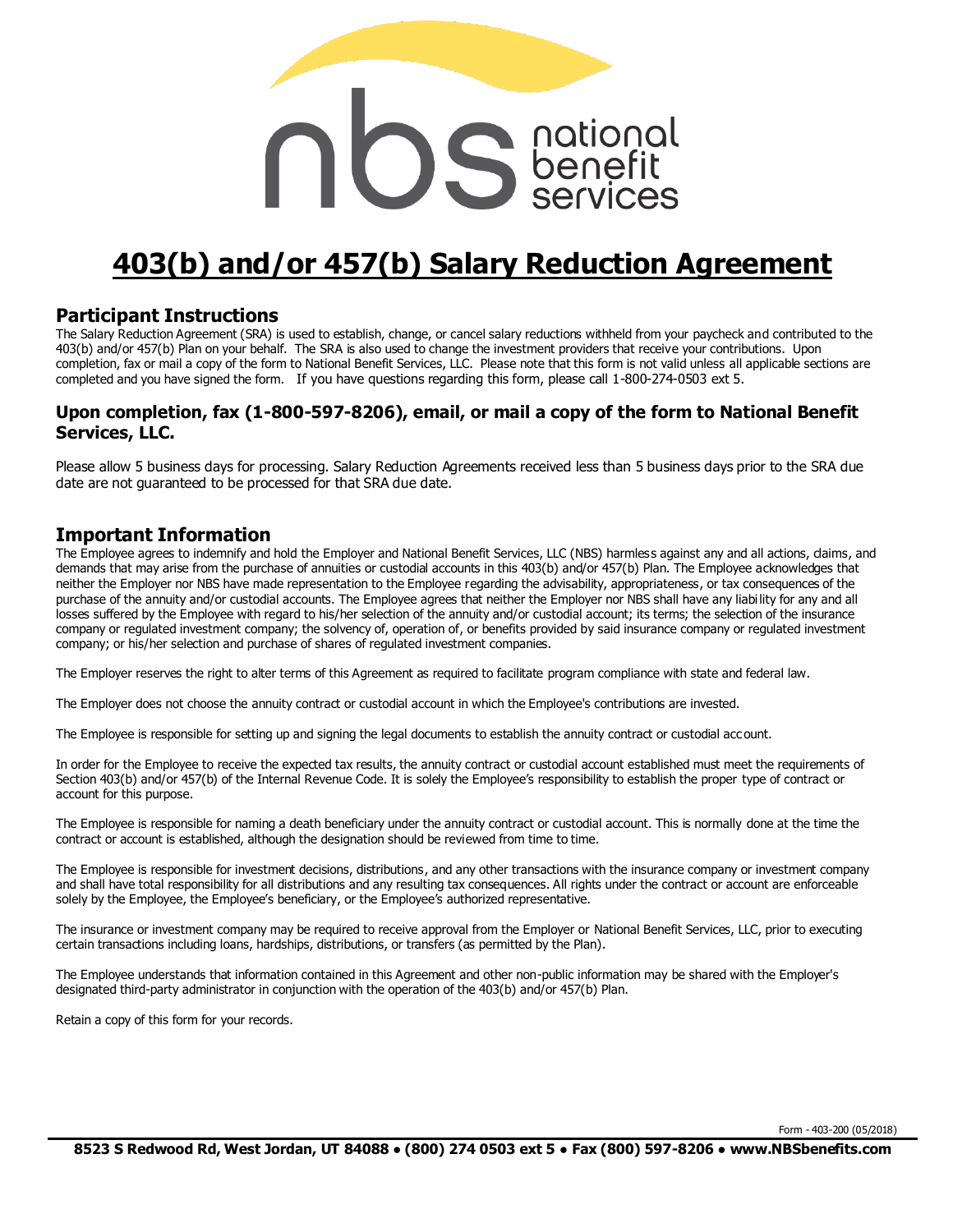# **notional**<br>Conseignational

# **403(b) and/or 457(b) Salary Reduction Agreement**

#### **Participant Instructions**

The Salary Reduction Agreement (SRA) is used to establish, change, or cancel salary reductions withheld from your paycheck and contributed to the 403(b) and/or 457(b) Plan on your behalf. The SRA is also used to change the investment providers that receive your contributions. Upon completion, fax or mail a copy of the form to National Benefit Services, LLC. Please note that this form is not valid unless all applicable sections are completed and you have signed the form. If you have questions regarding this form, please call 1-800-274-0503 ext 5.

#### **Upon completion, fax (1-800-597-8206), email, or mail a copy of the form to National Benefit Services, LLC.**

Please allow 5 business days for processing. Salary Reduction Agreements received less than 5 business days prior to the SRA due date are not guaranteed to be processed for that SRA due date.

#### **Important Information**

The Employee agrees to indemnify and hold the Employer and National Benefit Services, LLC (NBS) harmless against any and all actions, claims, and demands that may arise from the purchase of annuities or custodial accounts in this 403(b) and/or 457(b) Plan. The Employee acknowledges that neither the Employer nor NBS have made representation to the Employee regarding the advisability, appropriateness, or tax consequences of the purchase of the annuity and/or custodial accounts. The Employee agrees that neither the Employer nor NBS shall have any liabi lity for any and all losses suffered by the Employee with regard to his/her selection of the annuity and/or custodial account; its terms; the selection of the insurance company or regulated investment company; the solvency of, operation of, or benefits provided by said insurance company or regulated investment company; or his/her selection and purchase of shares of regulated investment companies.

The Employer reserves the right to alter terms of this Agreement as required to facilitate program compliance with state and federal law.

The Employer does not choose the annuity contract or custodial account in which the Employee's contributions are invested.

The Employee is responsible for setting up and signing the legal documents to establish the annuity contract or custodial account.

In order for the Employee to receive the expected tax results, the annuity contract or custodial account established must meet the requirements of Section 403(b) and/or 457(b) of the Internal Revenue Code. It is solely the Employee's responsibility to establish the proper type of contract or account for this purpose.

The Employee is responsible for naming a death beneficiary under the annuity contract or custodial account. This is normally done at the time the contract or account is established, although the designation should be reviewed from time to time.

The Employee is responsible for investment decisions, distributions, and any other transactions with the insurance company or investment company and shall have total responsibility for all distributions and any resulting tax consequences. All rights under the contract or account are enforceable solely by the Employee, the Employee's beneficiary, or the Employee's authorized representative.

The insurance or investment company may be required to receive approval from the Employer or National Benefit Services, LLC, prior to executing certain transactions including loans, hardships, distributions, or transfers (as permitted by the Plan).

The Employee understands that information contained in this Agreement and other non-public information may be shared with the Employer's designated third-party administrator in conjunction with the operation of the 403(b) and/or 457(b) Plan.

Retain a copy of this form for your records.